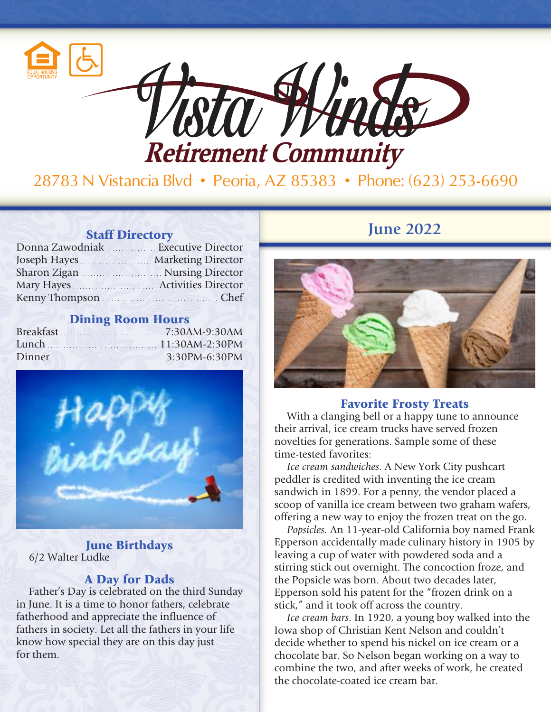

28783 N Vistancia Blvd • Peoria, AZ 85383 • Phone: (623) 253-6690

| Donna Zawodniak  Executive Director |  |
|-------------------------------------|--|
| Joseph Hayes Marketing Director     |  |
| Sharon Zigan Mursing Director       |  |
| Mary Hayes Activities Director      |  |
| Kenny Thompson                      |  |

## Dining Room Hours

| Breakfast 7:30AM-9:30AM |
|-------------------------|
| Lunch $11:30AM-2:30PM$  |
|                         |



June Birthdays 6/2 Walter Ludke

## A Day for Dads

Father's Day is celebrated on the third Sunday in June. It is a time to honor fathers, celebrate fatherhood and appreciate the influence of fathers in society. Let all the fathers in your life know how special they are on this day just for them.

# **Staff Directory June 2022**



### Favorite Frosty Treats

With a clanging bell or a happy tune to announce their arrival, ice cream trucks have served frozen novelties for generations. Sample some of these time-tested favorites:

*Ice cream sandwiches*. A New York City pushcart peddler is credited with inventing the ice cream sandwich in 1899. For a penny, the vendor placed a scoop of vanilla ice cream between two graham wafers, offering a new way to enjoy the frozen treat on the go.

*Popsicles.* An 11-year-old California boy named Frank Epperson accidentally made culinary history in 1905 by leaving a cup of water with powdered soda and a stirring stick out overnight. The concoction froze, and the Popsicle was born. About two decades later, Epperson sold his patent for the "frozen drink on a stick," and it took off across the country.

*Ice cream bars*. In 1920, a young boy walked into the Iowa shop of Christian Kent Nelson and couldn't decide whether to spend his nickel on ice cream or a chocolate bar. So Nelson began working on a way to combine the two, and after weeks of work, he created the chocolate-coated ice cream bar.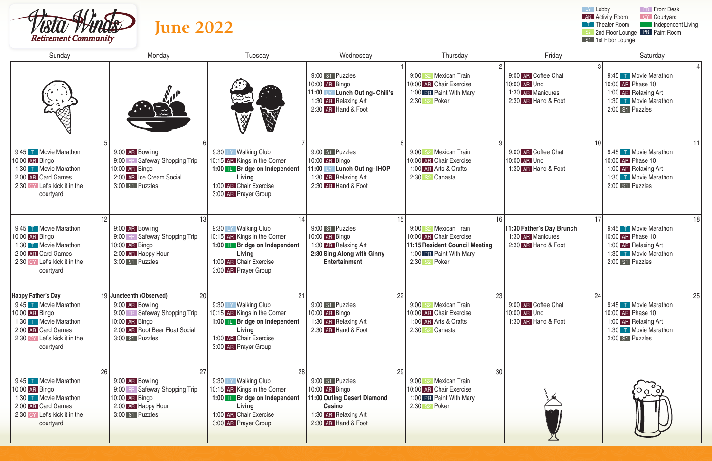

| LY Lobby<br><b>FR</b> Front Desk<br><b>AR</b> Activity Room<br>CY Courtyard<br><b>June 2022</b><br><b>T</b> Theater Room<br><b>IL</b> Independent Living<br>S <sub>2</sub> 2nd Floor Lounge PR Paint Room<br><b>Retirement Community</b><br>S1 1st Floor Lounge |                                                                                                                                                           |                                                                                                                                                                |                                                                                                                                 |                                                                                                                                                     |                                                                                 |                                                                                                                      |  |  |
|-----------------------------------------------------------------------------------------------------------------------------------------------------------------------------------------------------------------------------------------------------------------|-----------------------------------------------------------------------------------------------------------------------------------------------------------|----------------------------------------------------------------------------------------------------------------------------------------------------------------|---------------------------------------------------------------------------------------------------------------------------------|-----------------------------------------------------------------------------------------------------------------------------------------------------|---------------------------------------------------------------------------------|----------------------------------------------------------------------------------------------------------------------|--|--|
| Sunday                                                                                                                                                                                                                                                          | Monday                                                                                                                                                    | Tuesday                                                                                                                                                        | Wednesday                                                                                                                       | Thursday                                                                                                                                            | Friday                                                                          | Saturday                                                                                                             |  |  |
|                                                                                                                                                                                                                                                                 | E.                                                                                                                                                        | سيبي<br>爱<br><b>SEARCH</b>                                                                                                                                     | 9:00 S1 Puzzles<br>10:00 AR Bingo<br>11:00 LY Lunch Outing- Chili's<br>1:30 AR Relaxing Art<br>2:30 AR Hand & Foot              | S <sub>2</sub> Mexican Train<br>9:00<br>10:00 AR Chair Exercise<br>1:00 PR Paint With Mary<br>2:30 s2 Poker                                         | 9:00 AR Coffee Chat<br>10:00 AR Uno<br>1:30 AR Manicures<br>2:30 AR Hand & Foot | 9:45 T Movie Marathon<br>10:00 AR Phase 10<br>1:00 AR Relaxing Art<br>1:30 T Movie Marathon<br>2:00 S1 Puzzles       |  |  |
| 9:45 T Movie Marathon<br>10:00 AR Bingo<br>1:30 T Movie Marathon<br>2:00 AR Card Games<br>2:30 CY Let's kick it in the<br>courtyard                                                                                                                             | 9:00 AR Bowling<br>9:00 FR Safeway Shopping Trip<br>10:00 AR Bingo<br>2:00 AR Ice Cream Social<br>3:00 S1 Puzzles                                         | 9:30 LY Walking Club<br>10:15 AR Kings in the Corner<br>1:00 <b>IL Bridge on Independent</b><br>Living<br>1:00 AR Chair Exercise<br>3:00 AR Prayer Group       | 9:00 S1 Puzzles<br>10:00 AR Bingo<br>11:00 LY Lunch Outing- IHOP<br>1:30 AR Relaxing Art<br>2:30 AR Hand & Foot                 | S <sub>2</sub> Mexican Train<br>9:00<br>10:00 AR Chair Exercise<br>1:00 AR Arts & Crafts<br>2:30 s2 Canasta                                         | 10<br>9:00 AR Coffee Chat<br>10:00 AR Uno<br>1:30 AR Hand & Foot                | 11<br>9:45 T Movie Marathon<br>10:00 AR Phase 10<br>1:00 AR Relaxing Art<br>1:30 T Movie Marathon<br>2:00 S1 Puzzles |  |  |
| 12<br>9:45 T Movie Marathon<br>10:00 AR Bingo<br>1:30 T Movie Marathon<br>2:00 AR Card Games<br>2:30 CY Let's kick it in the<br>courtyard                                                                                                                       | 13<br>9:00 AR Bowling<br>9:00 FR Safeway Shopping Trip<br>10:00 AR Bingo<br>2:00 AR Happy Hour<br>3:00 S1 Puzzles                                         | 9:30 LY Walking Club<br>10:15 AR Kings in the Corner<br>1:00 <b>IL Bridge on Independent</b><br>Living<br>1:00 AR Chair Exercise<br>3:00 AR Prayer Group       | 15<br>9:00 S1 Puzzles<br>10:00 AR Bingo<br>1:30 AR Relaxing Art<br>2:30 Sing Along with Ginny<br>Entertainment                  | 16<br>S <sub>2</sub> Mexican Train<br>9:00<br>10:00 AR Chair Exercise<br>11:15 Resident Council Meeting<br>1:00 PR Paint With Mary<br>2:30 s2 Poker | 17<br>11:30 Father's Day Brunch<br>1:30 AR Manicures<br>2:30 AR Hand & Foot     | 18<br>9:45 T Movie Marathon<br>10:00 AR Phase 10<br>1:00 AR Relaxing Art<br>1:30 T Movie Marathon<br>2:00 S1 Puzzles |  |  |
| <b>Happy Father's Day</b><br>9:45 T Movie Marathon<br>10:00 AR Bingo<br>1:30 T Movie Marathon<br>2:00 AR Card Games<br>2:30 CY Let's kick it in the<br>courtyard                                                                                                | 19 Juneteenth (Observed)<br>20<br>9:00 AR Bowling<br>9:00 FR Safeway Shopping Trip<br>10:00 AR Bingo<br>2:00 AR Root Beer Float Social<br>3:00 S1 Puzzles | 21<br>9:30 LY Walking Club<br>10:15 AR Kings in the Corner<br>1:00 <b>L</b> Bridge on Independent<br>Living<br>1:00 AR Chair Exercise<br>3:00 AR Prayer Group  | 22<br>9:00 S1 Puzzles<br>10:00 AR Bingo<br>1:30 AR Relaxing Art<br>2:30 AR Hand & Foot                                          | 23<br>9:00 S <sub>2</sub> Mexican Train<br>10:00 AR Chair Exercise<br>1:00 AR Arts & Crafts<br>2:30 s2 Canasta                                      | 24<br>9:00 AR Coffee Chat<br>10:00 AR Uno<br>1:30 AR Hand & Foot                | 25<br>9:45 T Movie Marathon<br>10:00 AR Phase 10<br>1:00 AR Relaxing Art<br>1:30 T Movie Marathon<br>2:00 S1 Puzzles |  |  |
| 26<br>9:45 T Movie Marathon<br>10:00 AR Bingo<br>1:30 T Movie Marathon<br>2:00 AR Card Games<br>2:30 CY Let's kick it in the<br>courtyard                                                                                                                       | 27<br>9:00 AR Bowling<br>9:00 FR Safeway Shopping Trip<br>10:00 AR Bingo<br>2:00 AR Happy Hour<br>3:00 S1 Puzzles                                         | 28<br>9:30 LY Walking Club<br>10:15 AR Kings in the Corner<br>1:00 <b>LE</b> Bridge on Independent<br>Living<br>1:00 AR Chair Exercise<br>3:00 AR Prayer Group | 29<br>9:00 S1 Puzzles<br>10:00 AR Bingo<br>11:00 Outing Desert Diamond<br>Casino<br>1:30 AR Relaxing Art<br>2:30 AR Hand & Foot | 30<br>9:00 S <sub>2</sub> Mexican Train<br>10:00 AR Chair Exercise<br>1:00 PR Paint With Mary<br>$2:30$ s <sup>2</sup> Poker                        |                                                                                 |                                                                                                                      |  |  |